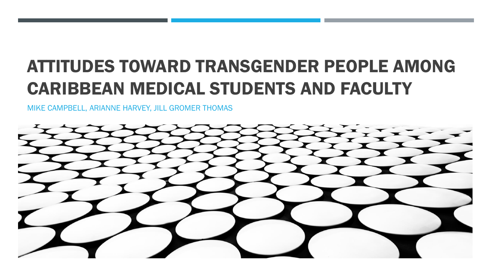# ATTITUDES TOWARD TRANSGENDER PEOPLE AMONG CARIBBEAN MEDICAL STUDENTS AND FACULTY

MIKE CAMPBELL, ARIANNE HARVEY, JILL GROMER THOMAS

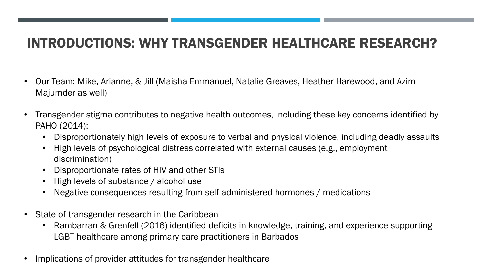#### INTRODUCTIONS: WHY TRANSGENDER HEALTHCARE RESEARCH?

- Our Team: Mike, Arianne, & Jill (Maisha Emmanuel, Natalie Greaves, Heather Harewood, and Azim Majumder as well)
- Transgender stigma contributes to negative health outcomes, including these key concerns identified by PAHO (2014):
	- Disproportionately high levels of exposure to verbal and physical violence, including deadly assaults
	- High levels of psychological distress correlated with external causes (e.g., employment discrimination)
	- Disproportionate rates of HIV and other STIs
	- High levels of substance / alcohol use
	- Negative consequences resulting from self-administered hormones / medications
- State of transgender research in the Caribbean
	- Rambarran & Grenfell (2016) identified deficits in knowledge, training, and experience supporting LGBT healthcare among primary care practitioners in Barbados
- Implications of provider attitudes for transgender healthcare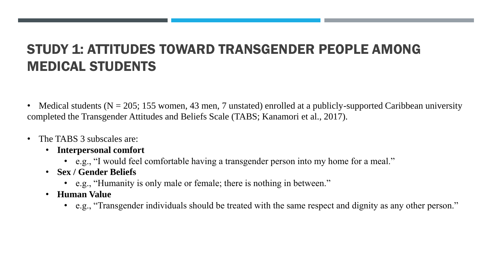## STUDY 1: ATTITUDES TOWARD TRANSGENDER PEOPLE AMONG MEDICAL STUDENTS

- Medical students ( $N = 205$ ; 155 women, 43 men, 7 unstated) enrolled at a publicly-supported Caribbean university completed the Transgender Attitudes and Beliefs Scale (TABS; Kanamori et al., 2017).
- The TABS 3 subscales are:
	- **Interpersonal comfort**
		- e.g., "I would feel comfortable having a transgender person into my home for a meal."
	- **Sex / Gender Beliefs**
		- e.g., "Humanity is only male or female; there is nothing in between."
	- **Human Value**
		- e.g., "Transgender individuals should be treated with the same respect and dignity as any other person."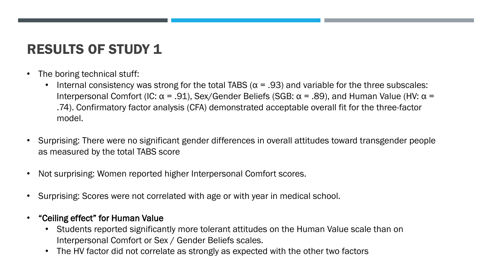## RESULTS OF STUDY 1

- The boring technical stuff:
	- Internal consistency was strong for the total TABS ( $\alpha$  = .93) and variable for the three subscales: Interpersonal Comfort (IC:  $\alpha$  = .91), Sex/Gender Beliefs (SGB:  $\alpha$  = .89), and Human Value (HV:  $\alpha$  = .74). Confirmatory factor analysis (CFA) demonstrated acceptable overall fit for the three-factor model.
- Surprising: There were no significant gender differences in overall attitudes toward transgender people as measured by the total TABS score
- Not surprising: Women reported higher Interpersonal Comfort scores.
- Surprising: Scores were not correlated with age or with year in medical school.
- "Ceiling effect" for Human Value
	- Students reported significantly more tolerant attitudes on the Human Value scale than on Interpersonal Comfort or Sex / Gender Beliefs scales.
	- The HV factor did not correlate as strongly as expected with the other two factors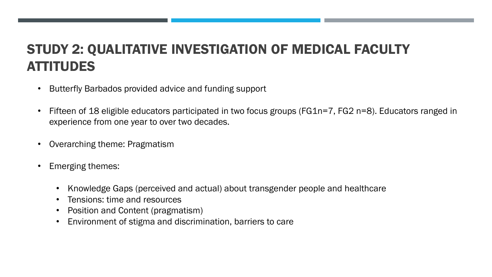## STUDY 2: QUALITATIVE INVESTIGATION OF MEDICAL FACULTY **ATTITUDES**

- Butterfly Barbados provided advice and funding support
- Fifteen of 18 eligible educators participated in two focus groups (FG1n=7, FG2 n=8). Educators ranged in experience from one year to over two decades.
- Overarching theme: Pragmatism
- Emerging themes:
	- Knowledge Gaps (perceived and actual) about transgender people and healthcare
	- Tensions: time and resources
	- Position and Content (pragmatism)
	- Environment of stigma and discrimination, barriers to care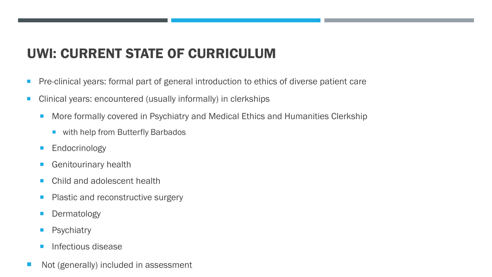## UWI: CURRENT STATE OF CURRICULUM

- Pre-clinical years: formal part of general introduction to ethics of diverse patient care
- Clinical years: encountered (usually informally) in clerkships
	- More formally covered in Psychiatry and Medical Ethics and Humanities Clerkship
		- with help from Butterfly Barbados
	- **Endocrinology**
	- Genitourinary health
	- **Child and adolescent health**
	- Plastic and reconstructive surgery
	- **Dermatology**
	- **Psychiatry**
	- Infectious disease
- Not (generally) included in assessment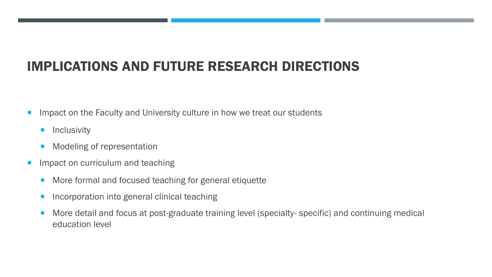## IMPLICATIONS AND FUTURE RESEARCH DIRECTIONS

- **IMPACT ON the Faculty and University culture in how we treat our students** 
	- **Inclusivity**
	- **Modeling of representation**
- **Impact on curriculum and teaching** 
	- **More formal and focused teaching for general etiquette**
	- **Incorporation into general clinical teaching**
	- **More detail and focus at post-graduate training level (specialty- specific) and continuing medical** education level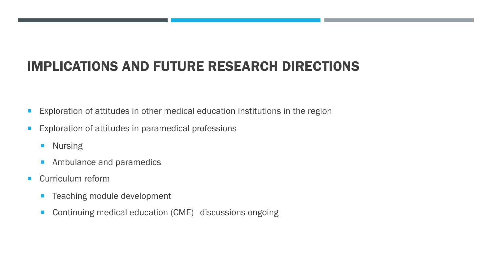## IMPLICATIONS AND FUTURE RESEARCH DIRECTIONS

- **Exploration of attitudes in other medical education institutions in the region**
- **Exploration of attitudes in paramedical professions** 
	- **Nursing**
	- **Ambulance and paramedics**
- **Curriculum reform** 
	- **Teaching module development**
	- Continuing medical education (CME)-discussions ongoing